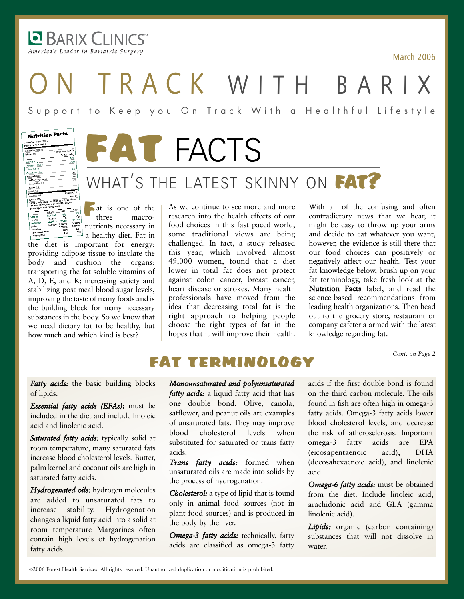**BARIX CLINICS** America's Leader in Bariatric Surgery

March 2006

ON TRACK WITH BARIX

## Support to Keep you On Track With a Healthful Lifestyle





# WHAT'S THE LATEST SKINNY ON FAT?

**Fat** is one of the three macromacronutrients necessary in a healthy diet. Fat in

the diet is important for energy; providing adipose tissue to insulate the body and cushion the organs; transporting the fat soluble vitamins of A, D, E, and K; increasing satiety and stabilizing post meal blood sugar levels, improving the taste of many foods and is the building block for many necessary substances in the body. So we know that we need dietary fat to be healthy, but how much and which kind is best?

As we continue to see more and more research into the health effects of our food choices in this fast paced world, some traditional views are being challenged. In fact, a study released this year, which involved almost 49,000 women, found that a diet lower in total fat does not protect against colon cancer, breast cancer, heart disease or strokes. Many health professionals have moved from the idea that decreasing total fat is the right approach to helping people choose the right types of fat in the hopes that it will improve their health.

With all of the confusing and often contradictory news that we hear, it might be easy to throw up your arms and decide to eat whatever you want, however, the evidence is still there that our food choices can positively or negatively affect our health. Test your fat knowledge below, brush up on your fat terminology, take fresh look at the Nutrition Facts label, and read the science-based recommendations from leading health organizations. Then head out to the grocery store, restaurant or company cafeteria armed with the latest knowledge regarding fat.

*Cont. on Page 2*

## FAT TERMINOLOGY

*Fatty acids:* the basic building blocks of lipids.

*Essential fatty acids (EFAs):* must be included in the diet and include linoleic acid and linolenic acid.

*Saturated fatty acids:* typically solid at room temperature, many saturated fats increase blood cholesterol levels. Butter, palm kernel and coconut oils are high in saturated fatty acids.

*Hydrogenated oils:* hydrogen molecules are added to unsaturated fats to increase stability. Hydrogenation changes a liquid fatty acid into a solid at room temperature Margarines often contain high levels of hydrogenation fatty acids.

*Monounsaturated and polyunsaturated fatty acids:* a liquid fatty acid that has one double bond. Olive, canola, safflower, and peanut oils are examples of unsaturated fats. They may improve blood cholesterol levels when substituted for saturated or trans fatty acids.

*Trans fatty acids:* formed when unsaturated oils are made into solids by the process of hydrogenation.

*Cholesterol:* a type of lipid that is found only in animal food sources (not in plant food sources) and is produced in the body by the liver.

*Omega-3 fatty acids:* technically, fatty acids are classified as omega-3 fatty

acids if the first double bond is found on the third carbon molecule. The oils found in fish are often high in omega-3 fatty acids. Omega-3 fatty acids lower blood cholesterol levels, and decrease the risk of atherosclerosis. Important omega-3 fatty acids are EPA (eicosapentaenoic acid), DHA (docosahexaenoic acid), and linolenic acid.

*Omega-6 fatty acids:* must be obtained from the diet. Include linoleic acid, arachidonic acid and GLA (gamma linolenic acid).

Lipids: organic (carbon containing) substances that will not dissolve in water.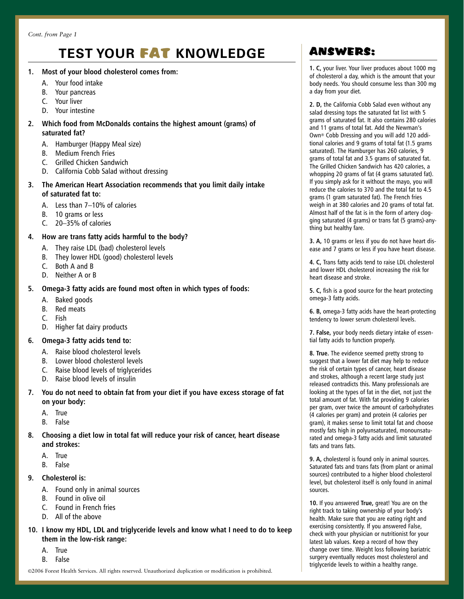## **TEST YOUR** FAT **KNOWLEDGE**

- **1. Most of your blood cholesterol comes from:**
	- A. Your food intake
	- B. Your pancreas
	- C. Your liver
	- D. Your intestine

#### **2. Which food from McDonalds contains the highest amount (grams) of saturated fat?**

- A. Hamburger (Happy Meal size)
- B. Medium French Fries
- C. Grilled Chicken Sandwich
- D. California Cobb Salad without dressing
- **3. The American Heart Association recommends that you limit daily intake of saturated fat to:**
	- A. Less than 7–10% of calories
	- B. 10 grams or less
	- C. 20–35% of calories

#### **4. How are trans fatty acids harmful to the body?**

- A. They raise LDL (bad) cholesterol levels
- B. They lower HDL (good) cholesterol levels
- C. Both A and B
- D. Neither A or B

#### **5. Omega-3 fatty acids are found most often in which types of foods:**

- A. Baked goods
- B. Red meats
- C. Fish
- D. Higher fat dairy products

#### **6. Omega-3 fatty acids tend to:**

- A. Raise blood cholesterol levels
- B. Lower blood cholesterol levels
- C. Raise blood levels of triglycerides
- D. Raise blood levels of insulin
- **7. You do not need to obtain fat from your diet if you have excess storage of fat on your body:**
	- A. True
	- B. False
- **8. Choosing a diet low in total fat will reduce your risk of cancer, heart disease and strokes:**
	- A. True
	- B. False
- **9. Cholesterol is:**
	- A. Found only in animal sources
	- B. Found in olive oil
	- C. Found in French fries
	- D. All of the above
- **10. I know my HDL, LDL and triglyceride levels and know what I need to do to keep them in the low-risk range:**
	- A. True
	- B. False

## ANSWERS:

**1. C,** your liver. Your liver produces about 1000 mg of cholesterol a day, which is the amount that your body needs. You should consume less than 300 mg a day from your diet.

**2. D,** the California Cobb Salad even without any salad dressing tops the saturated fat list with 5 grams of saturated fat. It also contains 280 calories and 11 grams of total fat. Add the Newman's Own® Cobb Dressing and you will add 120 additional calories and 9 grams of total fat (1.5 grams saturated). The Hamburger has 260 calories, 9 grams of total fat and 3.5 grams of saturated fat. The Grilled Chicken Sandwich has 420 calories, a whopping 20 grams of fat (4 grams saturated fat). If you simply ask for it without the mayo, you will reduce the calories to 370 and the total fat to 4.5 grams (1 gram saturated fat). The French fries weigh in at 380 calories and 20 grams of total fat. Almost half of the fat is in the form of artery clogging saturated (4 grams) or trans fat (5 grams)-anything but healthy fare.

**3. A,** 10 grams or less if you do not have heart disease and 7 grams or less if you have heart disease.

**4. C,** Trans fatty acids tend to raise LDL cholesterol and lower HDL cholesterol increasing the risk for heart disease and stroke.

**5. C,** fish is a good source for the heart protecting omega-3 fatty acids.

**6. B,** omega-3 fatty acids have the heart-protecting tendency to lower serum cholesterol levels.

**7. False,** your body needs dietary intake of essential fatty acids to function properly.

**8. True.** The evidence seemed pretty strong to suggest that a lower fat diet may help to reduce the risk of certain types of cancer, heart disease and strokes, although a recent large study just released contradicts this. Many professionals are looking at the types of fat in the diet, not just the total amount of fat. With fat providing 9 calories per gram, over twice the amount of carbohydrates (4 calories per gram) and protein (4 calories per gram), it makes sense to limit total fat and choose mostly fats high in polyunsaturated, monounsaturated and omega-3 fatty acids and limit saturated fats and trans fats.

**9. A,** cholesterol is found only in animal sources. Saturated fats and trans fats (from plant or animal sources) contributed to a higher blood cholesterol level, but cholesterol itself is only found in animal sources.

**10.** If you answered **True,** great! You are on the right track to taking ownership of your body's health. Make sure that you are eating right and exercising consistently. If you answered False, check with your physician or nutritionist for your latest lab values. Keep a record of how they change over time. Weight loss following bariatric surgery eventually reduces most cholesterol and triglyceride levels to within a healthy range.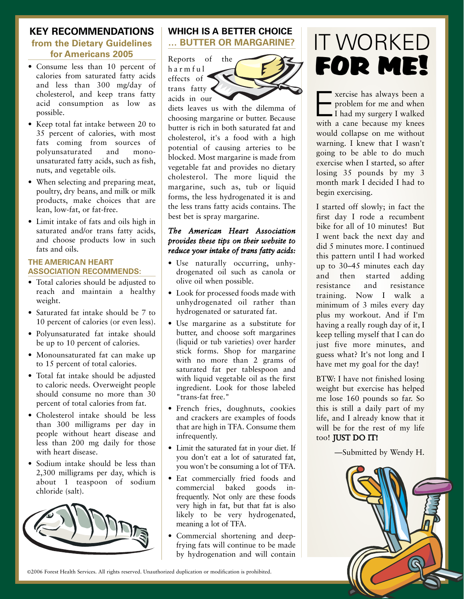#### **KEY RECOMMENDATIONS from the Dietary Guidelines for Americans 2005**

- Consume less than 10 percent of calories from saturated fatty acids and less than 300 mg/day of cholesterol, and keep trans fatty acid consumption as low as possible.
- Keep total fat intake between 20 to 35 percent of calories, with most fats coming from sources of polyunsaturated and monounsaturated fatty acids, such as fish, nuts, and vegetable oils.
- When selecting and preparing meat, poultry, dry beans, and milk or milk products, make choices that are lean, low-fat, or fat-free.
- Limit intake of fats and oils high in saturated and/or trans fatty acids, and choose products low in such fats and oils.

#### **THE AMERICAN HEART ASSOCIATION RECOMMENDS:**

- Total calories should be adjusted to reach and maintain a healthy weight.
- Saturated fat intake should be 7 to 10 percent of calories (or even less).
- Polyunsaturated fat intake should be up to 10 percent of calories.
- Monounsaturated fat can make up to 15 percent of total calories.
- Total fat intake should be adjusted to caloric needs. Overweight people should consume no more than 30 percent of total calories from fat.
- Cholesterol intake should be less than 300 milligrams per day in people without heart disease and less than 200 mg daily for those with heart disease.
- Sodium intake should be less than 2,300 milligrams per day, which is about 1 teaspoon of sodium chloride (salt).



#### **WHICH IS A BETTER CHOICE … BUTTER OR MARGARINE?**

Reports of the harmful effects of trans fatty acids in our



diets leaves us with the dilemma of choosing margarine or butter. Because butter is rich in both saturated fat and cholesterol, it's a food with a high potential of causing arteries to be blocked. Most margarine is made from vegetable fat and provides no dietary cholesterol. The more liquid the margarine, such as, tub or liquid forms, the less hydrogenated it is and the less trans fatty acids contains. The best bet is spray margarine.

#### *The American Heart Association provides these tips on their website to reduce your intake of trans fatty acids:*

- Use naturally occurring, unhydrogenated oil such as canola or olive oil when possible.
- Look for processed foods made with unhydrogenated oil rather than hydrogenated or saturated fat.
- Use margarine as a substitute for butter, and choose soft margarines (liquid or tub varieties) over harder stick forms. Shop for margarine with no more than 2 grams of saturated fat per tablespoon and with liquid vegetable oil as the first ingredient. Look for those labeled "trans-fat free."
- French fries, doughnuts, cookies and crackers are examples of foods that are high in TFA. Consume them infrequently.
- Limit the saturated fat in your diet. If you don't eat a lot of saturated fat, you won't be consuming a lot of TFA.
- Eat commercially fried foods and commercial baked goods infrequently. Not only are these foods very high in fat, but that fat is also likely to be very hydrogenated, meaning a lot of TFA.
- Commercial shortening and deepfrying fats will continue to be made by hydrogenation and will contain

# $\blacksquare$  that  $\blacksquare$ IT WORKED FOR ME!

Exercise has always been a<br>
problem for me and when<br>
I had my surgery I walked<br>
with a cano because my know problem for me and when with a cane because my knees would collapse on me without warning. I knew that I wasn't going to be able to do much exercise when I started, so after losing 35 pounds by my 3 month mark I decided I had to begin exercising.

I started off slowly; in fact the first day I rode a recumbent bike for all of 10 minutes! But I went back the next day and did 5 minutes more. I continued this pattern until I had worked up to 30–45 minutes each day and then started adding resistance and resistance training. Now I walk a minimum of 3 miles every day plus my workout. And if I'm having a really rough day of it, I keep telling myself that I can do just five more minutes, and guess what? It's not long and I have met my goal for the day!

BTW: I have not finished losing weight but exercise has helped me lose 160 pounds so far. So this is still a daily part of my life, and I already know that it will be for the rest of my life too! JUST DO IT!

—Submitted by Wendy H.

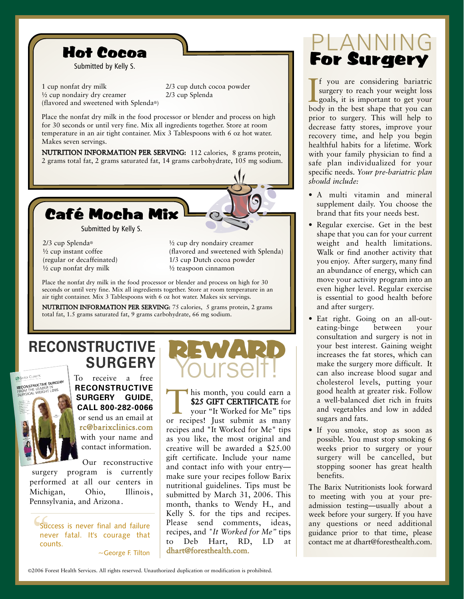

1 cup nonfat dry milk ½ cup nondairy dry creamer (flavored and sweetened with Splenda®)

2/3 cup dutch cocoa powder 2/3 cup Splenda

Place the nonfat dry milk in the food processor or blender and process on high for 30 seconds or until very fine. Mix all ingredients together. Store at room temperature in an air tight container. Mix 3 Tablespoons with 6 oz hot water. Makes seven servings.

NUTRITION INFORMATION PER SERVING: 112 calories, 8 grams protein, 2 grams total fat, 2 grams saturated fat, 14 grams carbohydrate, 105 mg sodium.



2/3 cup Splenda® ½ cup instant coffee (regular or decaffeinated) ½ cup nonfat dry milk

½ cup dry nondairy creamer (flavored and sweetened with Splenda) 1/3 cup Dutch cocoa powder ½ teaspoon cinnamon

Place the nonfat dry milk in the food processor or blender and process on high for 30 seconds or until very fine. Mix all ingredients together. Store at room temperature in an air tight container. Mix 3 Tablespoons with 6 oz hot water. Makes six servings.

NUTRITION INFORMATION PER SERVING: 75 calories, 5 grams protein, 2 grams total fat, 1.5 grams saturated fat, 9 grams carbohydrate, 66 mg sodium.

## **RECONSTRUCTIVE SURGERY**



To receive a free **RECONSTRUCTIVE SURGERY GUIDE**, **CALL 8002820066** or send us an email at rc@barixclinics.com with your name and contact information.

Our reconstructive surgery program is currently performed at all our centers in Michigan, Ohio, Illinois, Pennsylvania, and Arizona.

Suc<br>
nev<br>
cou Success is never final and failure never fatal. It's courage that counts.

~George F. Tilton

# REWARD

This month, you could earn a<br>
\$25 GIFT CERTIFICATE for<br>
your "It Worked for Me" tips<br>
or recipes! Just submit as many \$25 GIFT CERTIFICATE for your "It Worked for Me" tips recipes and "It Worked for Me" tips as you like, the most original and creative will be awarded a \$25.00 gift certificate. Include your name and contact info with your entry make sure your recipes follow Barix nutritional guidelines. Tips must be submitted by March 31, 2006. This month, thanks to Wendy H., and Kelly S. for the tips and recipes. Please send comments, ideas, recipes, and *"It Worked for Me"* tips to Deb Hart, RD, LD at dhart@foresthealth.com.

# PLANNING For Surgery

If you are considering bariatric<br>surgery to reach your weight loss<br>goals, it is important to get your<br>body in the best shape that you can f you are considering bariatric surgery to reach your weight loss goals, it is important to get your prior to surgery. This will help to decrease fatty stores, improve your recovery time, and help you begin healthful habits for a lifetime. Work with your family physician to find a safe plan individualized for your specific needs. *Your pre-bariatric plan should include:*

- A multi vitamin and mineral supplement daily. You choose the brand that fits your needs best.
- Regular exercise. Get in the best shape that you can for your current weight and health limitations. Walk or find another activity that you enjoy. After surgery, many find an abundance of energy, which can move your activity program into an even higher level. Regular exercise is essential to good health before and after surgery.
- Eat right. Going on an all-outeating-binge between your consultation and surgery is not in your best interest. Gaining weight increases the fat stores, which can make the surgery more difficult. It can also increase blood sugar and cholesterol levels, putting your good health at greater risk. Follow a well-balanced diet rich in fruits and vegetables and low in added sugars and fats.
- If you smoke, stop as soon as possible. You must stop smoking 6 weeks prior to surgery or your surgery will be cancelled, but stopping sooner has great health benefits.

The Barix Nutritionists look forward to meeting with you at your preadmission testing—usually about a week before your surgery. If you have any questions or need additional guidance prior to that time, please contact me at dhart@foresthealth.com.